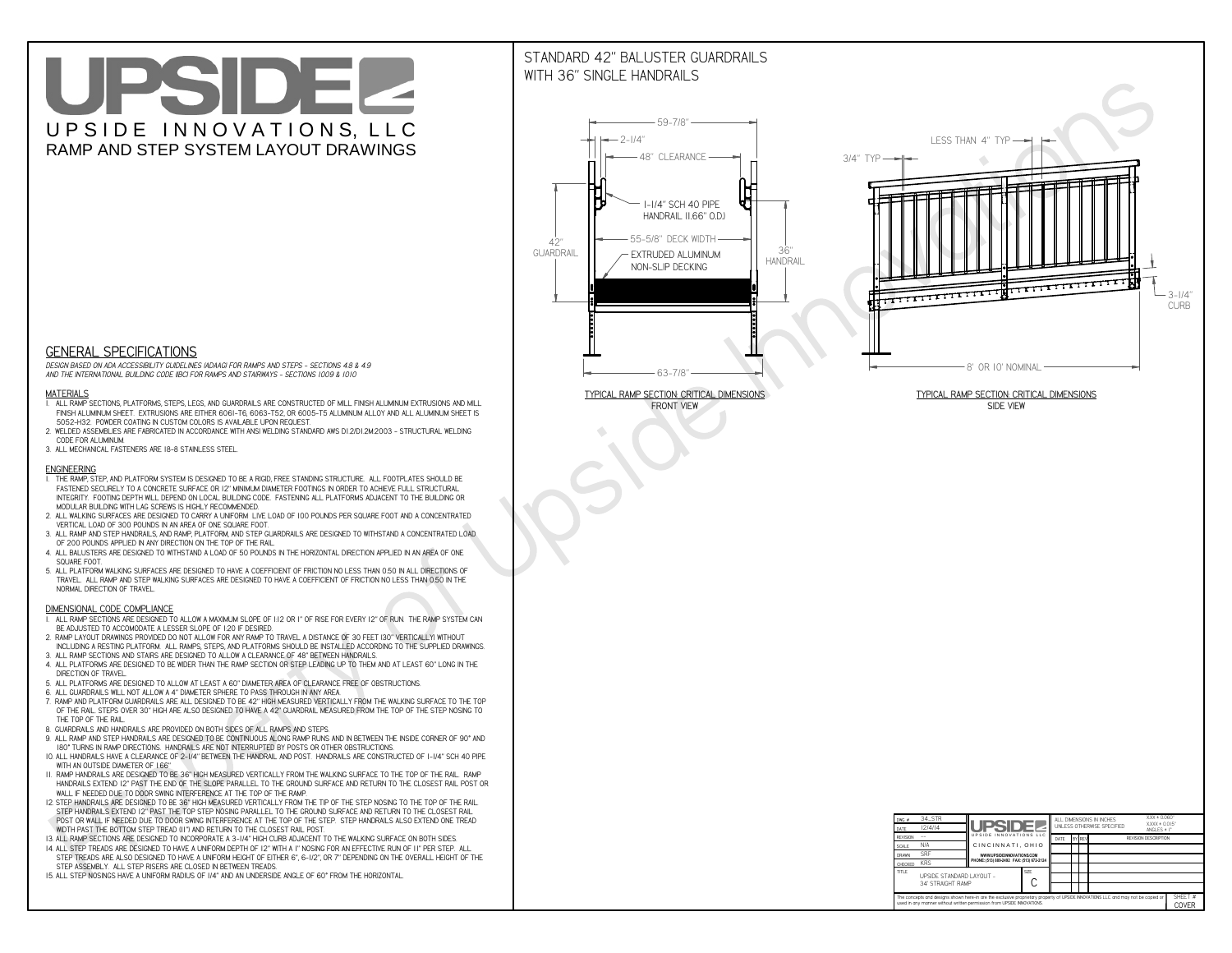# UPSIDEL UPSIDE INNOVATIONS, LLC RAMP AND STEP SYSTEM LAYOUT DRAWINGS

## STANDARD 42" BALUSTER GUARDRAILSWITH 36" SINGLE HANDRAILS

**FRONT VIEW**





**GENERAL SPECIFICATIONS**

 *DESIGN BASED ON ADA ACCESSIBILITY GUIDELINES (ADAAG) FOR RAMPS AND STEPS - SECTIONS 4.8 & 4.9AND THE INTERNATIONAL BUILDING CODE (IBC) FOR RAMPS AND STAIRWAYS - SECTIONS 1009 & 1010*

#### **MATERIALS**

- **1. ALL RAMP SECTIONS, PLATFORMS, STEPS, LEGS, AND GUARDRAILS ARE CONSTRUCTED OF MILL FINISH ALUMINUM EXTRUSIONS AND MILL FINISH ALUMINUM SHEET. EXTRUSIONS ARE EITHER 6061-T6, 6063-T52, OR 6005-T5 ALUMINUM ALLOY AND ALL ALUMINUM SHEET IS 5052-H32. POWDER COATING IN CUSTOM COLORS IS AVAILABLE UPON REQUEST.**
- **2. WELDED ASSEMBLIES ARE FABRICATED IN ACCORDANCE WITH ANSI WELDING STANDARD AWS D1.2/D1.2M:2003 STRUCTURAL WELDING CODE FOR ALUMINUM.**
- **3. ALL MECHANICAL FASTENERS ARE 18-8 STAINLESS STEEL.**

#### **ENGINEERING**

- **1. THE RAMP, STEP, AND PLATFORM SYSTEM IS DESIGNED TO BE A RIGID, FREE STANDING STRUCTURE. ALL FOOTPLATES SHOULD BE FASTENED SECURELY TO A CONCRETE SURFACE OR 12" MINIMUM DIAMETER FOOTINGS IN ORDER TO ACHIEVE FULL STRUCTURAL INTEGRITY. FOOTING DEPTH WILL DEPEND ON LOCAL BUILDING CODE. FASTENING ALL PLATFORMS ADJACENT TO THE BUILDING OR MODULAR BUILDING WITH LAG SCREWS IS HIGHLY RECOMMENDED.**
- **2. ALL WALKING SURFACES ARE DESIGNED TO CARRY A UNIFORM LIVE LOAD OF 100 POUNDS PER SQUARE FOOT AND A CONCENTRATED VERTICAL LOAD OF 300 POUNDS IN AN AREA OF ONE SQUARE FOOT.**
- **3. ALL RAMP AND STEP HANDRAILS, AND RAMP, PLATFORM, AND STEP GUARDRAILS ARE DESIGNED TO WITHSTAND A CONCENTRATED LOAD OF 200 POUNDS APPLIED IN ANY DIRECTION ON THE TOP OF THE RAIL.**
- **4. ALL BALUSTERS ARE DESIGNED TO WITHSTAND A LOAD OF 50 POUNDS IN THE HORIZONTAL DIRECTION APPLIED IN AN AREA OF ONE SQUARE FOOT.**
- **5. ALL PLATFORM WALKING SURFACES ARE DESIGNED TO HAVE A COEFFICIENT OF FRICTION NO LESS THAN 0.50 IN ALL DIRECTIONS OF TRAVEL. ALL RAMP AND STEP WALKING SURFACES ARE DESIGNED TO HAVE A COEFFICIENT OF FRICTION NO LESS THAN 0.50 IN THE NORMAL DIRECTION OF TRAVEL.**

| $DWG.$ #<br>DATE                                                                                                                                                                                            | 34_STR<br>12/4/14                             | UPSIDEL<br>UPSIDE INNOVATIONS LLC<br>CINCINNATI, OHIO<br>WWW.UPSIDEINNOVATIONS.COM<br>PHONE: (513) 889-2492 FAX: (513) 672-2124 |             | $XXX = 0.060"$<br>ALL DIMENSIONS IN INCHES<br>UNI FSS OTHERWISE SPECIFIED<br>ANGLES $\pm$ 1° |                                              |  |  |                  | $XXX \pm 0.015$ " |
|-------------------------------------------------------------------------------------------------------------------------------------------------------------------------------------------------------------|-----------------------------------------------|---------------------------------------------------------------------------------------------------------------------------------|-------------|----------------------------------------------------------------------------------------------|----------------------------------------------|--|--|------------------|-------------------|
| <b>REVISION</b>                                                                                                                                                                                             |                                               |                                                                                                                                 |             | DATE                                                                                         | <b>BY REV</b><br><b>REVISION DESCRIPTION</b> |  |  |                  |                   |
| <b>SCALE</b>                                                                                                                                                                                                | N/A                                           |                                                                                                                                 |             |                                                                                              |                                              |  |  |                  |                   |
| <b>DRAWN</b>                                                                                                                                                                                                | <b>SRF</b>                                    |                                                                                                                                 |             |                                                                                              |                                              |  |  |                  |                   |
| CHECKED                                                                                                                                                                                                     | <b>KRS</b>                                    |                                                                                                                                 |             |                                                                                              |                                              |  |  |                  |                   |
| <b>TITLE</b>                                                                                                                                                                                                | UPSIDE STANDARD LAYOUT -<br>34' STRAIGHT RAMP |                                                                                                                                 | <b>SIZE</b> |                                                                                              |                                              |  |  |                  |                   |
| The concepts and designs shown here-in are the exclusive proprietary property of UPSIDE INNOVATIONS LLC. and may not be copied or<br>used in any manner without written permission from UPSIDE INNOVATIONS. |                                               |                                                                                                                                 |             |                                                                                              |                                              |  |  | SHEET #<br>COVER |                   |

### **DIMENSIONAL CODE COMPLIANCE**

- **1. ALL RAMP SECTIONS ARE DESIGNED TO ALLOW A MAXIMUM SLOPE OF 1:12 OR 1" OF RISE FOR EVERY 12" OF RUN. THE RAMP SYSTEM CAN BE ADJUSTED TO ACCOMODATE A LESSER SLOPE OF 1:20 IF DESIRED.**
- **2. RAMP LAYOUT DRAWINGS PROVIDED DO NOT ALLOW FOR ANY RAMP TO TRAVEL A DISTANCE OF 30 FEET (30" VERTICALLY) WITHOUT INCLUDING A RESTING PLATFORM. ALL RAMPS, STEPS, AND PLATFORMS SHOULD BE INSTALLED ACCORDING TO THE SUPPLIED DRAWINGS.**
- **3. ALL RAMP SECTIONS AND STAIRS ARE DESIGNED TO ALLOW A CLEARANCE OF 48" BETWEEN HANDRAILS.**
- **4. ALL PLATFORMS ARE DESIGNED TO BE WIDER THAN THE RAMP SECTION OR STEP LEADING UP TO THEM AND AT LEAST 60" LONG IN THE DIRECTION OF TRAVEL.**
- **5. ALL PLATFORMS ARE DESIGNED TO ALLOW AT LEAST A 60" DIAMETER AREA OF CLEARANCE FREE OF OBSTRUCTIONS.**
- **6. ALL GUARDRAILS WILL NOT ALLOW A 4" DIAMETER SPHERE TO PASS THROUGH IN ANY AREA.**
- **7. RAMP AND PLATFORM GUARDRAILS ARE ALL DESIGNED TO BE 42" HIGH MEASURED VERTICALLY FROM THE WALKING SURFACE TO THE TOP OF THE RAIL. STEPS OVER 30" HIGH ARE ALSO DESIGNED TO HAVE A 42" GUARDRAIL MEASURED FROM THE TOP OF THE STEP NOSING TO THE TOP OF THE RAIL.**
- **8. GUARDRAILS AND HANDRAILS ARE PROVIDED ON BOTH SIDES OF ALL RAMPS AND STEPS.**
- **9. ALL RAMP AND STEP HANDRAILS ARE DESIGNED TO BE CONTINUOUS ALONG RAMP RUNS AND IN BETWEEN THE INSIDE CORNER OF 90° AND 180° TURNS IN RAMP DIRECTIONS. HANDRAILS ARE NOT INTERRUPTED BY POSTS OR OTHER OBSTRUCTIONS.**
- **10. ALL HANDRAILS HAVE A CLEARANCE OF 2-1/4" BETWEEN THE HANDRAIL AND POST. HANDRAILS ARE CONSTRUCTED OF 1-1/4" SCH 40 PIPE WITH AN OUTSIDE DIAMETER OF 1.66"**
- **11. RAMP HANDRAILS ARE DESIGNED TO BE 36" HIGH MEASURED VERTICALLY FROM THE WALKING SURFACE TO THE TOP OF THE RAIL. RAMP HANDRAILS EXTEND 12" PAST THE END OF THE SLOPE PARALLEL TO THE GROUND SURFACE AND RETURN TO THE CLOSEST RAIL POST OR WALL IF NEEDED DUE TO DOOR SWING INTERFERENCE AT THE TOP OF THE RAMP.**
- **12. STEP HANDRAILS ARE DESIGNED TO BE 36" HIGH MEASURED VERTICALLY FROM THE TIP OF THE STEP NOSING TO THE TOP OF THE RAIL. STEP HANDRAILS EXTEND 12" PAST THE TOP STEP NOSING PARALLEL TO THE GROUND SURFACE AND RETURN TO THE CLOSEST RAIL POST OR WALL IF NEEDED DUE TO DOOR SWING INTERFERENCE AT THE TOP OF THE STEP. STEP HANDRAILS ALSO EXTEND ONE TREAD**
- **WIDTH PAST THE BOTTOM STEP TREAD (11") AND RETURN TO THE CLOSEST RAIL POST.**
- **13. ALL RAMP SECTIONS ARE DESIGNED TO INCORPORATE A 3-1/4" HIGH CURB ADJACENT TO THE WALKING SURFACE ON BOTH SIDES.**
- **14. ALL STEP TREADS ARE DESIGNED TO HAVE A UNIFORM DEPTH OF 12" WITH A 1" NOSING FOR AN EFFECTIVE RUN OF 11" PER STEP. ALL STEP TREADS ARE ALSO DESIGNED TO HAVE A UNIFORM HEIGHT OF EITHER 6", 6-1/2", OR 7" DEPENDING ON THE OVERALL HEIGHT OF THE STEP ASSEMBLY. ALL STEP RISERS ARE CLOSED IN BETWEEN TREADS.**
- **15. ALL STEP NOSINGS HAVE A UNIFORM RADIUS OF 1/4" AND AN UNDERSIDE ANGLE OF 60° FROM THE HORIZONTAL.**